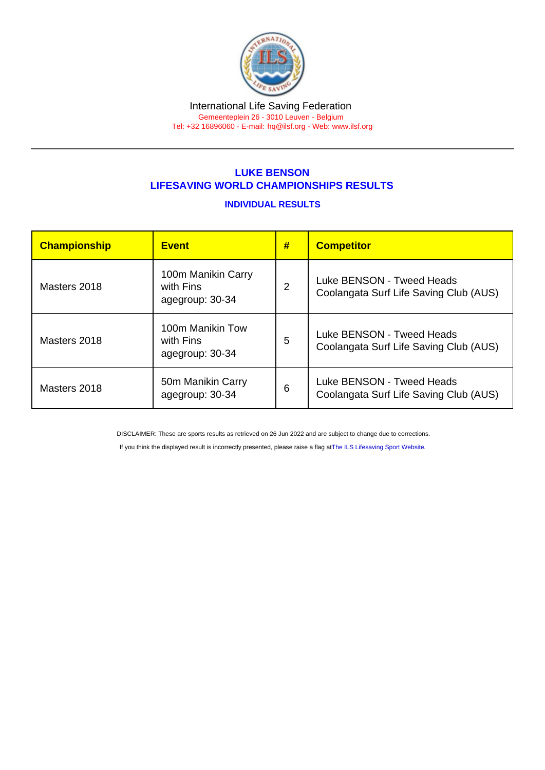#### International Life Saving Federation Gemeenteplein 26 - 3010 Leuven - Belgium

Tel: +32 16896060 - E-mail: [hq@ilsf.org](mailto:hq@ilsf.org) - Web: [www.ilsf.org](https://www.ilsf.org)

## LUKE BENSON LIFESAVING WORLD CHAMPIONSHIPS RESULTS

### INDIVIDUAL RESULTS

| Championship | <b>Event</b>                                       | # | <b>Competitor</b>                                                   |
|--------------|----------------------------------------------------|---|---------------------------------------------------------------------|
| Masters 2018 | 100m Manikin Carry<br>with Fins<br>agegroup: 30-34 | 2 | Luke BENSON - Tweed Heads<br>Coolangata Surf Life Saving Club (AUS) |
| Masters 2018 | 100m Manikin Tow<br>with Fins<br>agegroup: 30-34   | 5 | Luke BENSON - Tweed Heads<br>Coolangata Surf Life Saving Club (AUS) |
| Masters 2018 | 50m Manikin Carry<br>agegroup: 30-34               | 6 | Luke BENSON - Tweed Heads<br>Coolangata Surf Life Saving Club (AUS) |

DISCLAIMER: These are sports results as retrieved on 26 Jun 2022 and are subject to change due to corrections.

If you think the displayed result is incorrectly presented, please raise a flag at [The ILS Lifesaving Sport Website.](https://sport.ilsf.org)